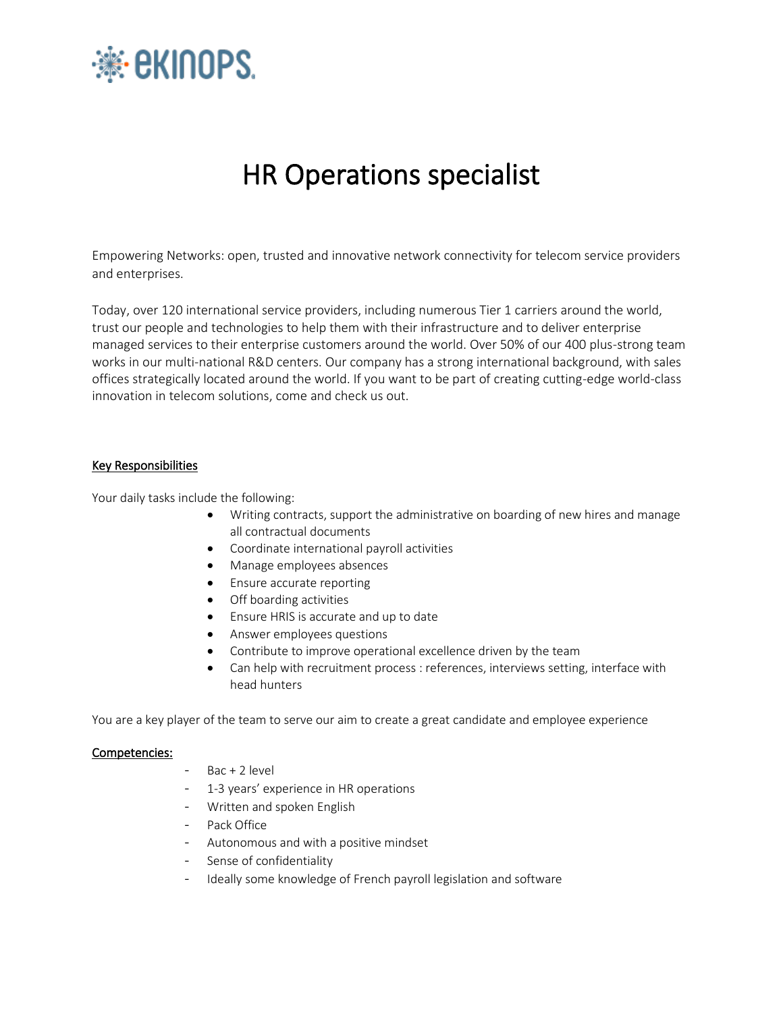

# HR Operations specialist

Empowering Networks: open, trusted and innovative network connectivity for telecom service providers and enterprises.

Today, over 120 international service providers, including numerous Tier 1 carriers around the world, trust our people and technologies to help them with their infrastructure and to deliver enterprise managed services to their enterprise customers around the world. Over 50% of our 400 plus-strong team works in our multi-national R&D centers. Our company has a strong international background, with sales offices strategically located around the world. If you want to be part of creating cutting-edge world-class innovation in telecom solutions, come and check us out.

## Key Responsibilities

Your daily tasks include the following:

- Writing contracts, support the administrative on boarding of new hires and manage all contractual documents
- Coordinate international payroll activities
- Manage employees absences
- Ensure accurate reporting
- Off boarding activities
- Ensure HRIS is accurate and up to date
- Answer employees questions
- Contribute to improve operational excellence driven by the team
- Can help with recruitment process : references, interviews setting, interface with head hunters

You are a key player of the team to serve our aim to create a great candidate and employee experience

#### Competencies:

- $Bac + 2$  level
- 1-3 years' experience in HR operations
- Written and spoken English
- Pack Office
- Autonomous and with a positive mindset
- Sense of confidentiality
- Ideally some knowledge of French payroll legislation and software